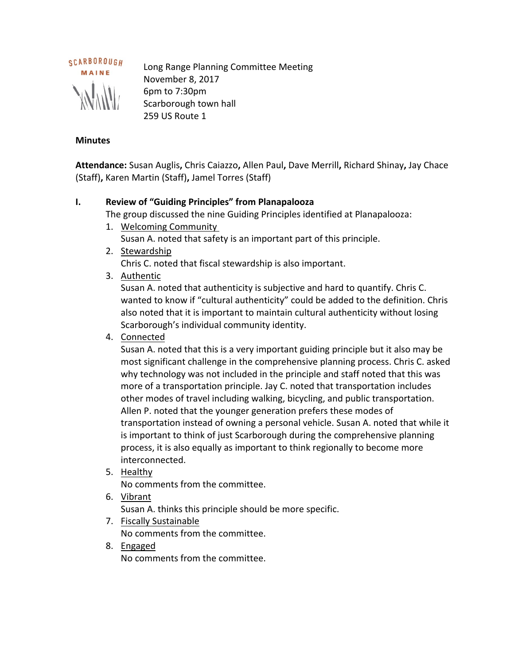

Long Range Planning Committee Meeting November 8, 2017 6pm to 7:30pm Scarborough town hall 259 US Route 1

#### **Minutes**

**Attendance:** Susan Auglis**,** Chris Caiazzo**,** Allen Paul**,** Dave Merrill**,** Richard Shinay**,** Jay Chace (Staff)**,** Karen Martin (Staff)**,** Jamel Torres (Staff)

### **I. Review of "Guiding Principles" from Planapalooza**

The group discussed the nine Guiding Principles identified at Planapalooza:

- 1. Welcoming Community Susan A. noted that safety is an important part of this principle.
- 2. Stewardship Chris C. noted that fiscal stewardship is also important.
- 3. Authentic

Susan A. noted that authenticity is subjective and hard to quantify. Chris C. wanted to know if "cultural authenticity" could be added to the definition. Chris also noted that it is important to maintain cultural authenticity without losing Scarborough's individual community identity.

4. Connected

Susan A. noted that this is a very important guiding principle but it also may be most significant challenge in the comprehensive planning process. Chris C. asked why technology was not included in the principle and staff noted that this was more of a transportation principle. Jay C. noted that transportation includes other modes of travel including walking, bicycling, and public transportation. Allen P. noted that the younger generation prefers these modes of transportation instead of owning a personal vehicle. Susan A. noted that while it is important to think of just Scarborough during the comprehensive planning process, it is also equally as important to think regionally to become more interconnected.

5. Healthy

No comments from the committee.

6. Vibrant

Susan A. thinks this principle should be more specific.

7. Fiscally Sustainable

No comments from the committee.

8. Engaged

No comments from the committee.